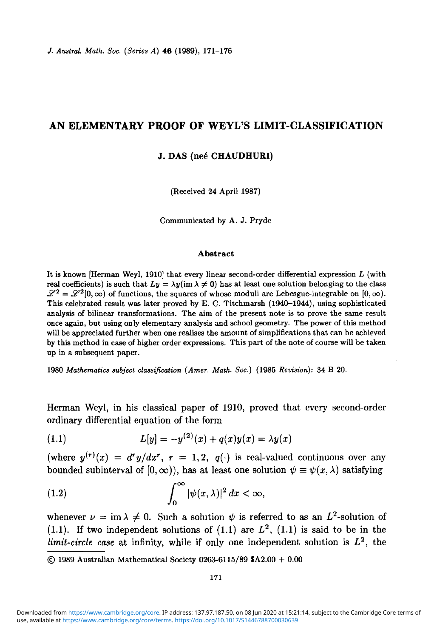*J. Austral. Math. Soc. (Series A)* 46 (1989), 171-176

## **AN ELEMENTARY PROOF OF WEYL'S LIMIT-CLASSIFICATION**

### **J. DAS** (ne6 **CHAUDHURI)**

(Received 24 April 1987)

Communicated by A. J. Pryde

#### **Abstract**

It is known [Herman Weyl, 1910] that every linear second-order differential expression *L* (with real coefficients) is such that  $Ly = \lambda y (im \lambda \neq 0)$  has at least one solution belonging to the class  $\mathscr{L}^2 = \mathscr{L}^2[0,\infty)$  of functions, the squares of whose moduli are Lebesgue-integrable on  $[0,\infty)$ . This celebrated result was later proved by E. C. Titchmarsh (1940-1944), using sophisticated analysis of bilinear transformations. The aim of the present note is to prove the same result once again, but using only elementary analysis and school geometry. The power of this method will be appreciated further when one realises the amount of simplifications that can be achieved by this method in case of higher order expressions. This part of the note of course will be taken up in a subsequent paper.

1980 *Mathematics subject classification (Arner. Math. Soc.)* (1985 *Revision):* 34 B 20.

Herman Weyl, in his classical paper of 1910, proved that every second-order ordinary differential equation of the form

(1.1) 
$$
L[y] = -y^{(2)}(x) + q(x)y(x) = \lambda y(x)
$$

(where  $y^{(r)}(x) = d^r y/dx^r$ ,  $r = 1, 2, q(\cdot)$  is real-valued continuous over any bounded subinterval of  $[0, \infty)$ , has at least one solution  $\psi \equiv \psi(x, \lambda)$  satisfying

(1.2) 
$$
\int_0^\infty |\psi(x,\lambda)|^2 dx < \infty,
$$

whenever  $\nu = \text{im }\lambda \neq 0$ . Such a solution  $\psi$  is referred to as an  $L^2$ -solution of  $(1.1)$ . If two independent solutions of  $(1.1)$  are  $L^2$ ,  $(1.1)$  is said to be in the *limit-circle case* at infinity, while if only one independent solution is *L2 ,* the

<sup>© 1989</sup> Australian Mathematical Society 0263-6115/89 SA2.00 + 0.00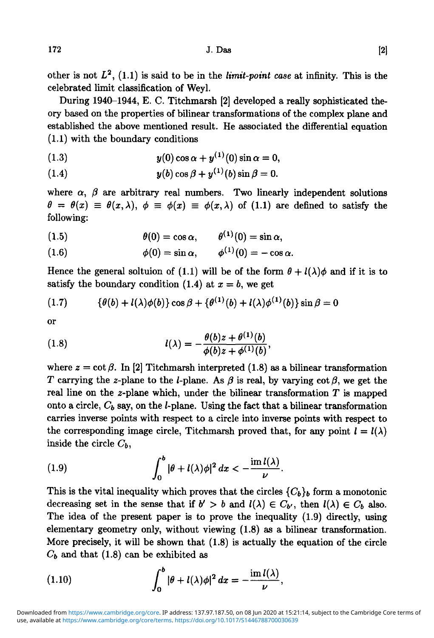other is not  $L^2$ ,  $(1.1)$  is said to be in the *limit-point case* at infinity. This is the celebrated limit classification of Weyl.

During 1940-1944, E. C. Titchmarsh [2] developed a really sophisticated theory based on the properties of bilinear transformations of the complex plane and established the above mentioned result. He associated the differential equation (1.1) with the boundary conditions

(1.3) 
$$
y(0)\cos\alpha + y^{(1)}(0)\sin\alpha = 0,
$$

$$
(1.4) \t y(b) \cos \beta + y^{(1)}(b) \sin \beta = 0.
$$

where  $\alpha$ ,  $\beta$  are arbitrary real numbers. Two linearly independent solutions  $\theta = \theta(x) \equiv \theta(x,\lambda), \phi \equiv \phi(x) \equiv \phi(x,\lambda)$  of (1.1) are defined to satisfy the following:

(1.5) 
$$
\theta(0) = \cos \alpha, \qquad \theta^{(1)}(0) = \sin \alpha,
$$

(1.6)  $\phi(0) = \sin \alpha, \qquad \phi^{(1)}(0) = -\cos \alpha.$ 

Hence the general soltuion of (1.1) will be of the form  $\theta + l(\lambda)\phi$  and if it is to satisfy the boundary condition (1.4) at  $x = b$ , we get

 $\mathbf{z}$ 

(1.7) 
$$
\{\theta(b) + l(\lambda)\phi(b)\}\cos\beta + \{\theta^{(1)}(b) + l(\lambda)\phi^{(1)}(b)\}\sin\beta = 0
$$

or

(1.8) 
$$
l(\lambda) = -\frac{\theta(b)z + \theta^{(1)}(b)}{\phi(b)z + \phi^{(1)}(b)}
$$

where  $z = \cot \beta$ . In [2] Titchmarsh interpreted (1.8) as a bilinear transformation T carrying the z-plane to the *l*-plane. As  $\beta$  is real, by varying  $\cot \beta$ , we get the real line on the 2-plane which, under the bilinear transformation *T* is mapped onto a circle,  $C_b$  say, on the  $l$ -plane. Using the fact that a bilinear transformation carries inverse points with respect to a circle into inverse points with respect to the corresponding image circle, Titchmarsh proved that, for any point  $l = l(\lambda)$ inside the circle *Cb,*

(1.9) 
$$
\int_0^b |\theta + l(\lambda)\phi|^2 dx < -\frac{\operatorname{im} l(\lambda)}{\nu}.
$$

This is the vital inequality which proves that the circles  ${C_b}_b$  form a monotonic decreasing set in the sense that if  $b' > b$  and  $l(\lambda) \in C_{b'}$ , then  $l(\lambda) \in C_b$  also. The idea of the present paper is to prove the inequality (1.9) directly, using elementary geometry only, without viewing (1.8) as a bilinear transformation. More precisely, it will be shown that (1.8) is actually the equation of the circle  $C_b$  and that  $(1.8)$  can be exhibited as

(1.10) 
$$
\int_0^b |\theta + l(\lambda)\phi|^2 dx = -\frac{\mathrm{im} l(\lambda)}{\nu},
$$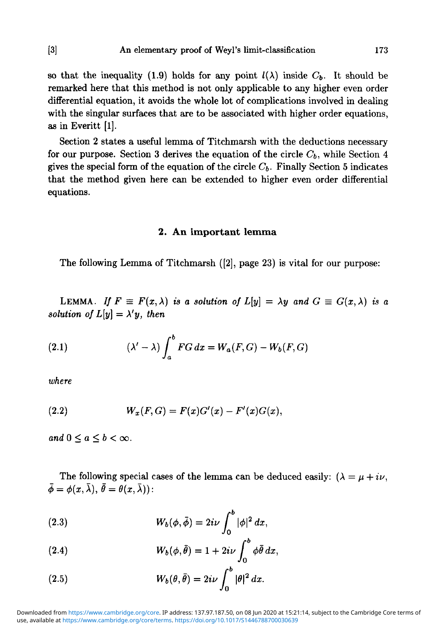so that the inequality (1.9) holds for any point  $l(\lambda)$  inside  $C_b$ . It should be remarked here that this method is not only applicable to any higher even order differential equation, it avoids the whole lot of complications involved in dealing with the singular surfaces that are to be associated with higher order equations, as in Everitt [1].

Section 2 states a useful lemma of Titchmarsh with the deductions necessary for our purpose. Section 3 derives the equation of the circle  $C_b$ , while Section 4 gives the special form of the equation of the circle  $C_b$ . Finally Section 5 indicates that the method given here can be extended to higher even order differential equations.

### **2. An important lemma**

The following Lemma of Titchmarsh ([2], page 23) is vital for our purpose:

LEMMA. If  $F \equiv F(x,\lambda)$  is a solution of  $L[y] = \lambda y$  and  $G \equiv G(x,\lambda)$  is a *solution of*  $L[y] = \lambda' y$ *, then* 

(2.1) 
$$
(\lambda' - \lambda) \int_a^b FG \, dx = W_a(F, G) - W_b(F, G)
$$

*where*

(2.2) 
$$
W_x(F,G) = F(x)G'(x) - F'(x)G(x),
$$

*and*  $0 \le a \le b < \infty$ .

The following special cases of the lemma can be deduced easily:  $(\lambda = \mu + i\nu,$  $\bar{\phi} = \phi(x, \bar{\lambda}), \bar{\theta} = \theta(x, \bar{\lambda})$ :

(2.3) 
$$
W_b(\phi, \bar{\phi}) = 2i\nu \int_0^b |\phi|^2 dx,
$$

(2.4) 
$$
W_b(\phi, \bar{\theta}) = 1 + 2i\nu \int_0^{\rho} \phi \bar{\theta} dx,
$$

(2.5) 
$$
W_b(\theta, \bar{\theta}) = 2i\nu \int_0^b |\theta|^2 dx.
$$

use, available at <https://www.cambridge.org/core/terms>.<https://doi.org/10.1017/S1446788700030639> Downloaded from [https://www.cambridge.org/core.](https://www.cambridge.org/core) IP address: 137.97.187.50, on 08 Jun 2020 at 15:21:14, subject to the Cambridge Core terms of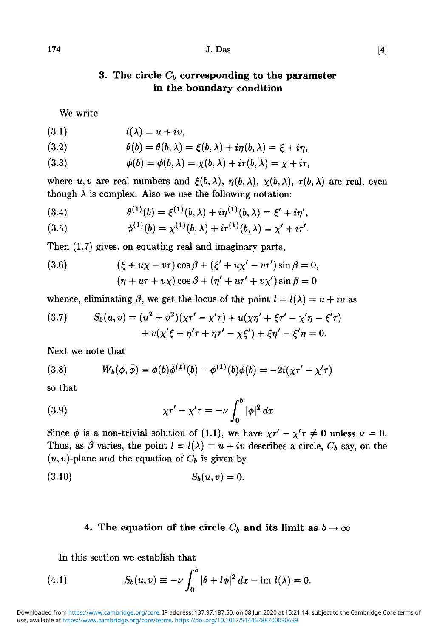## $174$  J. Das [4]

# **in the boundary condition**

We write

$$
l(\lambda) = u + iv,
$$

(3.2) 
$$
\theta(b) = \theta(b, \lambda) = \xi(b, \lambda) + i\eta(b, \lambda) = \xi + i\eta,
$$

(3.3) 
$$
\phi(b) = \phi(b, \lambda) = \chi(b, \lambda) + i\tau(b, \lambda) = \chi + i\tau,
$$

where u, v are real numbers and  $\xi(b, \lambda)$ ,  $\eta(b, \lambda)$ ,  $\chi(b, \lambda)$ ,  $\tau(b, \lambda)$  are real, even though  $\lambda$  is complex. Also we use the following notation:

(3.4) 
$$
\theta^{(1)}(b) = \xi^{(1)}(b,\lambda) + i\eta^{(1)}(b,\lambda) = \xi' + i\eta',
$$

(3.5) 
$$
\phi^{(1)}(b) = \chi^{(1)}(b,\lambda) + i\tau^{(1)}(b,\lambda) = \chi' + i\tau'.
$$

Then (1.7) gives, on equating real and imaginary parts,

(3.6) 
$$
(\xi + u\chi - v\tau)\cos \beta + (\xi' + u\chi' - v\tau')\sin \beta = 0, (\eta + u\tau + v\chi)\cos \beta + (\eta' + u\tau' + v\chi')\sin \beta = 0
$$

whence, eliminating  $\beta$ , we get the locus of the point  $l = l(\lambda) = u + iv$  as

(3.7) 
$$
S_b(u, v) = (u^2 + v^2)(\chi \tau' - \chi' \tau) + u(\chi \eta' + \xi \tau' - \chi' \eta - \xi' \tau) + v(\chi' \xi - \eta' \tau + \eta \tau' - \chi \xi') + \xi \eta' - \xi' \eta = 0.
$$

Next we note that

(3.8) 
$$
W_b(\phi,\bar{\phi}) = \phi(b)\bar{\phi}^{(1)}(b) - \phi^{(1)}(b)\bar{\phi}(b) = -2i(\chi\tau' - \chi'\tau)
$$

so that

(3.9) 
$$
\chi \tau' - \chi' \tau = -\nu \int_0^b |\phi|^2 dx
$$

Since  $\phi$  is a non-trivial solution of (1.1), we have  $\chi \tau' - \chi' \tau \neq 0$  unless  $\nu = 0$ . Thus, as  $\beta$  varies, the point  $l = l(\lambda) = u + iv$  describes a circle,  $C_b$  say, on the  $(u, v)$ -plane and the equation of  $C_b$  is given by

$$
(3.10) \t S_b(u,v) = 0.
$$

## 4. The equation of the circle  $C_b$  and its limit as  $b \to \infty$

In this section we establish that

(4.1) 
$$
S_b(u,v) \equiv -\nu \int_0^b |\theta + l\phi|^2 dx - \text{im } l(\lambda) = 0.
$$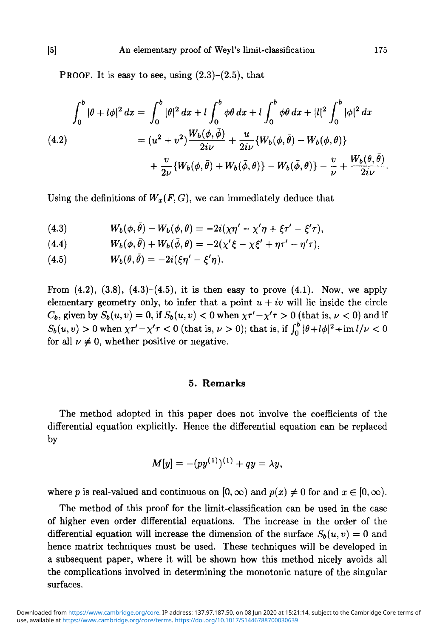PROOF. It is easy to see, using  $(2.3)$ – $(2.5)$ , that

$$
\int_0^b |\theta + l\phi|^2 dx = \int_0^b |\theta|^2 dx + l \int_0^b \phi \bar{\theta} dx + \bar{l} \int_0^b \bar{\phi} \theta dx + |l|^2 \int_0^b |\phi|^2 dx
$$
  
(4.2)  

$$
= (u^2 + v^2) \frac{W_b(\phi, \bar{\phi})}{2i\nu} + \frac{u}{2i\nu} \{W_b(\phi, \bar{\theta}) - W_b(\phi, \theta)\}
$$

$$
+ \frac{v}{2\nu} \{W_b(\phi, \bar{\theta}) + W_b(\bar{\phi}, \theta)\} - W_b(\bar{\phi}, \theta)\} - \frac{v}{\nu} + \frac{W_b(\theta, \bar{\theta})}{2i\nu}.
$$

Using the definitions of  $W_x(F, G)$ , we can immediately deduce that

(4.3) 
$$
W_b(\phi,\bar{\theta})-W_b(\bar{\phi},\theta)=-2i(\chi\eta'-\chi'\eta+\xi\tau'-\xi'\tau),
$$

(4.4) 
$$
W_b(\phi,\bar{\theta})+W_b(\bar{\phi},\theta)=-2(\chi'\xi-\chi\xi'+\eta\tau'-\eta'\tau),
$$

$$
(4.5) \t W_b(\theta,\theta) = -2i(\xi\eta' - \xi'\eta)
$$

From  $(4.2)$ ,  $(3.8)$ ,  $(4.3)$ – $(4.5)$ , it is then easy to prove  $(4.1)$ . Now, we apply elementary geometry only, to infer that a point  $u + iv$  will lie inside the circle  $C_b$ , given by  $S_b(u, v) = 0$ , if  $S_b(u, v) < 0$  when  $\chi \tau' - \chi' \tau > 0$  (that is,  $\nu < 0$ ) and if  $S_b(u, v) > 0$  when  $\chi \tau' - \chi' \tau < 0$  (that is,  $\nu > 0$ ); that is, if  $\int_0^b |\theta + l\phi|^2 + \text{im }l/\nu < 0$ for all  $\nu \neq 0$ , whether positive or negative.

### **5. Remarks**

The method adopted in this paper does not involve the coefficients of the differential equation explicitly. Hence the differential equation can be replaced by

$$
M[y] = -(py^{(1)})^{(1)} + qy = \lambda y,
$$

where *p* is real-valued and continuous on  $[0, \infty)$  and  $p(x) \neq 0$  for and  $x \in [0, \infty)$ .

The method of this proof for the limit-classification can be used in the case of higher even order differential equations. The increase in the order of the differential equation will increase the dimension of the surface  $S_b(u, v) = 0$  and hence matrix techniques must be used. These techniques will be developed in a subsequent paper, where it will be shown how this method nicely avoids all the complications involved in determining the monotonic nature of the singular surfaces.